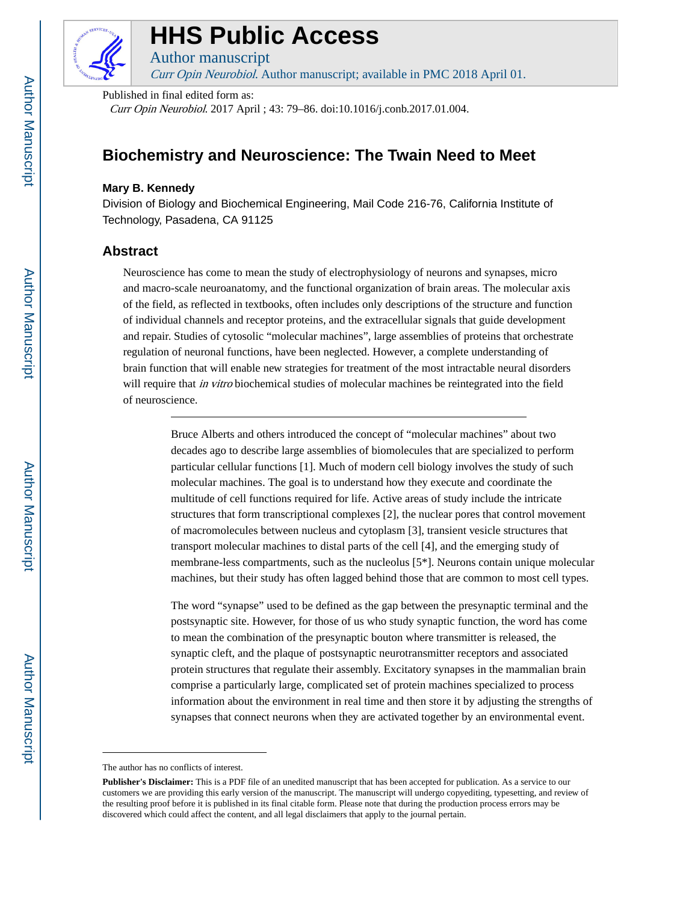

# **HHS Public Access**

Curr Opin Neurobiol. Author manuscript; available in PMC 2018 April 01.

Published in final edited form as:

Author manuscript

Curr Opin Neurobiol. 2017 April ; 43: 79–86. doi:10.1016/j.conb.2017.01.004.

# **Biochemistry and Neuroscience: The Twain Need to Meet**

#### **Mary B. Kennedy**

Division of Biology and Biochemical Engineering, Mail Code 216-76, California Institute of Technology, Pasadena, CA 91125

# **Abstract**

Neuroscience has come to mean the study of electrophysiology of neurons and synapses, micro and macro-scale neuroanatomy, and the functional organization of brain areas. The molecular axis of the field, as reflected in textbooks, often includes only descriptions of the structure and function of individual channels and receptor proteins, and the extracellular signals that guide development and repair. Studies of cytosolic "molecular machines", large assemblies of proteins that orchestrate regulation of neuronal functions, have been neglected. However, a complete understanding of brain function that will enable new strategies for treatment of the most intractable neural disorders will require that *in vitro* biochemical studies of molecular machines be reintegrated into the field of neuroscience.

> Bruce Alberts and others introduced the concept of "molecular machines" about two decades ago to describe large assemblies of biomolecules that are specialized to perform particular cellular functions [1]. Much of modern cell biology involves the study of such molecular machines. The goal is to understand how they execute and coordinate the multitude of cell functions required for life. Active areas of study include the intricate structures that form transcriptional complexes [2], the nuclear pores that control movement of macromolecules between nucleus and cytoplasm [3], transient vesicle structures that transport molecular machines to distal parts of the cell [4], and the emerging study of membrane-less compartments, such as the nucleolus [5\*]. Neurons contain unique molecular machines, but their study has often lagged behind those that are common to most cell types.

> The word "synapse" used to be defined as the gap between the presynaptic terminal and the postsynaptic site. However, for those of us who study synaptic function, the word has come to mean the combination of the presynaptic bouton where transmitter is released, the synaptic cleft, and the plaque of postsynaptic neurotransmitter receptors and associated protein structures that regulate their assembly. Excitatory synapses in the mammalian brain comprise a particularly large, complicated set of protein machines specialized to process information about the environment in real time and then store it by adjusting the strengths of synapses that connect neurons when they are activated together by an environmental event.

The author has no conflicts of interest.

**Publisher's Disclaimer:** This is a PDF file of an unedited manuscript that has been accepted for publication. As a service to our customers we are providing this early version of the manuscript. The manuscript will undergo copyediting, typesetting, and review of the resulting proof before it is published in its final citable form. Please note that during the production process errors may be discovered which could affect the content, and all legal disclaimers that apply to the journal pertain.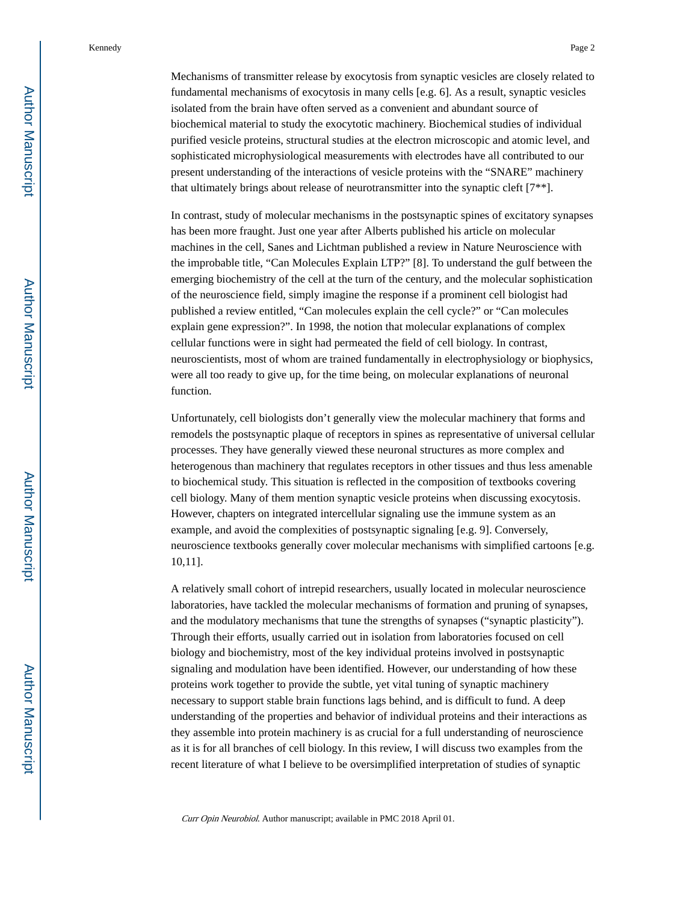Mechanisms of transmitter release by exocytosis from synaptic vesicles are closely related to fundamental mechanisms of exocytosis in many cells [e.g. 6]. As a result, synaptic vesicles isolated from the brain have often served as a convenient and abundant source of biochemical material to study the exocytotic machinery. Biochemical studies of individual purified vesicle proteins, structural studies at the electron microscopic and atomic level, and sophisticated microphysiological measurements with electrodes have all contributed to our present understanding of the interactions of vesicle proteins with the "SNARE" machinery that ultimately brings about release of neurotransmitter into the synaptic cleft [7\*\*].

In contrast, study of molecular mechanisms in the postsynaptic spines of excitatory synapses has been more fraught. Just one year after Alberts published his article on molecular machines in the cell, Sanes and Lichtman published a review in Nature Neuroscience with the improbable title, "Can Molecules Explain LTP?" [8]. To understand the gulf between the emerging biochemistry of the cell at the turn of the century, and the molecular sophistication of the neuroscience field, simply imagine the response if a prominent cell biologist had published a review entitled, "Can molecules explain the cell cycle?" or "Can molecules explain gene expression?". In 1998, the notion that molecular explanations of complex cellular functions were in sight had permeated the field of cell biology. In contrast, neuroscientists, most of whom are trained fundamentally in electrophysiology or biophysics, were all too ready to give up, for the time being, on molecular explanations of neuronal function.

Unfortunately, cell biologists don't generally view the molecular machinery that forms and remodels the postsynaptic plaque of receptors in spines as representative of universal cellular processes. They have generally viewed these neuronal structures as more complex and heterogenous than machinery that regulates receptors in other tissues and thus less amenable to biochemical study. This situation is reflected in the composition of textbooks covering cell biology. Many of them mention synaptic vesicle proteins when discussing exocytosis. However, chapters on integrated intercellular signaling use the immune system as an example, and avoid the complexities of postsynaptic signaling [e.g. 9]. Conversely, neuroscience textbooks generally cover molecular mechanisms with simplified cartoons [e.g. 10,11].

A relatively small cohort of intrepid researchers, usually located in molecular neuroscience laboratories, have tackled the molecular mechanisms of formation and pruning of synapses, and the modulatory mechanisms that tune the strengths of synapses ("synaptic plasticity"). Through their efforts, usually carried out in isolation from laboratories focused on cell biology and biochemistry, most of the key individual proteins involved in postsynaptic signaling and modulation have been identified. However, our understanding of how these proteins work together to provide the subtle, yet vital tuning of synaptic machinery necessary to support stable brain functions lags behind, and is difficult to fund. A deep understanding of the properties and behavior of individual proteins and their interactions as they assemble into protein machinery is as crucial for a full understanding of neuroscience as it is for all branches of cell biology. In this review, I will discuss two examples from the recent literature of what I believe to be oversimplified interpretation of studies of synaptic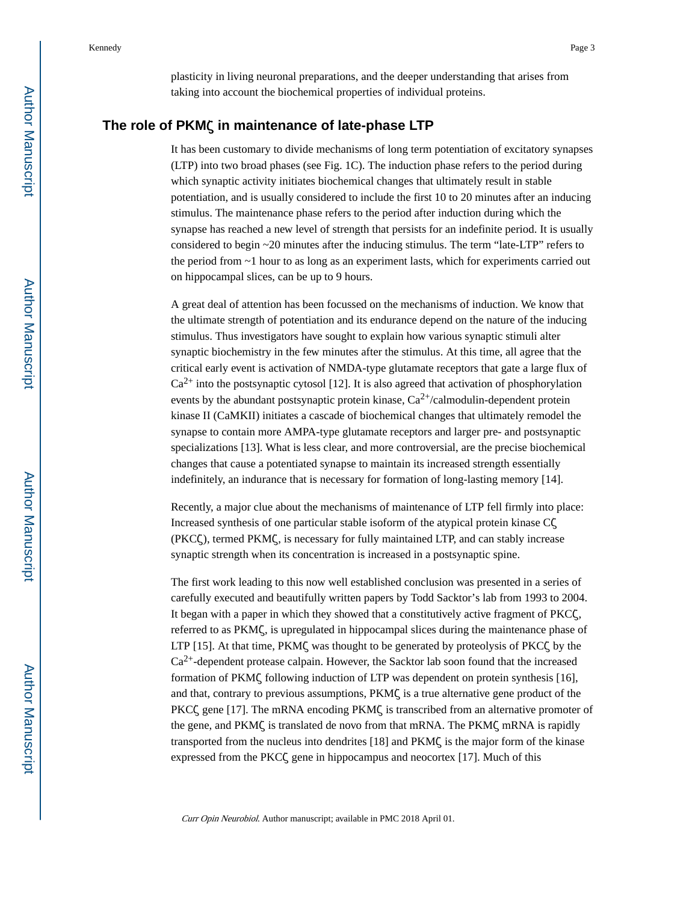plasticity in living neuronal preparations, and the deeper understanding that arises from taking into account the biochemical properties of individual proteins.

### **The role of PKM**ζ **in maintenance of late-phase LTP**

It has been customary to divide mechanisms of long term potentiation of excitatory synapses (LTP) into two broad phases (see Fig. 1C). The induction phase refers to the period during which synaptic activity initiates biochemical changes that ultimately result in stable potentiation, and is usually considered to include the first 10 to 20 minutes after an inducing stimulus. The maintenance phase refers to the period after induction during which the synapse has reached a new level of strength that persists for an indefinite period. It is usually considered to begin ~20 minutes after the inducing stimulus. The term "late-LTP" refers to the period from ~1 hour to as long as an experiment lasts, which for experiments carried out on hippocampal slices, can be up to 9 hours.

A great deal of attention has been focussed on the mechanisms of induction. We know that the ultimate strength of potentiation and its endurance depend on the nature of the inducing stimulus. Thus investigators have sought to explain how various synaptic stimuli alter synaptic biochemistry in the few minutes after the stimulus. At this time, all agree that the critical early event is activation of NMDA-type glutamate receptors that gate a large flux of  $Ca<sup>2+</sup>$  into the postsynaptic cytosol [12]. It is also agreed that activation of phosphorylation events by the abundant postsynaptic protein kinase,  $Ca^{2+}/cal$ calmodulin-dependent protein kinase II (CaMKII) initiates a cascade of biochemical changes that ultimately remodel the synapse to contain more AMPA-type glutamate receptors and larger pre- and postsynaptic specializations [13]. What is less clear, and more controversial, are the precise biochemical changes that cause a potentiated synapse to maintain its increased strength essentially indefinitely, an indurance that is necessary for formation of long-lasting memory [14].

Recently, a major clue about the mechanisms of maintenance of LTP fell firmly into place: Increased synthesis of one particular stable isoform of the atypical protein kinase Cζ (PKCζ), termed PKMζ, is necessary for fully maintained LTP, and can stably increase synaptic strength when its concentration is increased in a postsynaptic spine.

The first work leading to this now well established conclusion was presented in a series of carefully executed and beautifully written papers by Todd Sacktor's lab from 1993 to 2004. It began with a paper in which they showed that a constitutively active fragment of PKCζ, referred to as PKMζ, is upregulated in hippocampal slices during the maintenance phase of LTP [15]. At that time, PKMζ was thought to be generated by proteolysis of PKCζ by the  $Ca<sup>2+</sup>$ -dependent protease calpain. However, the Sacktor lab soon found that the increased formation of PKMζ following induction of LTP was dependent on protein synthesis [16], and that, contrary to previous assumptions, PKMζ is a true alternative gene product of the PKCζ gene [17]. The mRNA encoding PKMζ is transcribed from an alternative promoter of the gene, and PKMζ is translated de novo from that mRNA. The PKMζ mRNA is rapidly transported from the nucleus into dendrites [18] and PKMζ is the major form of the kinase expressed from the PKCζ gene in hippocampus and neocortex [17]. Much of this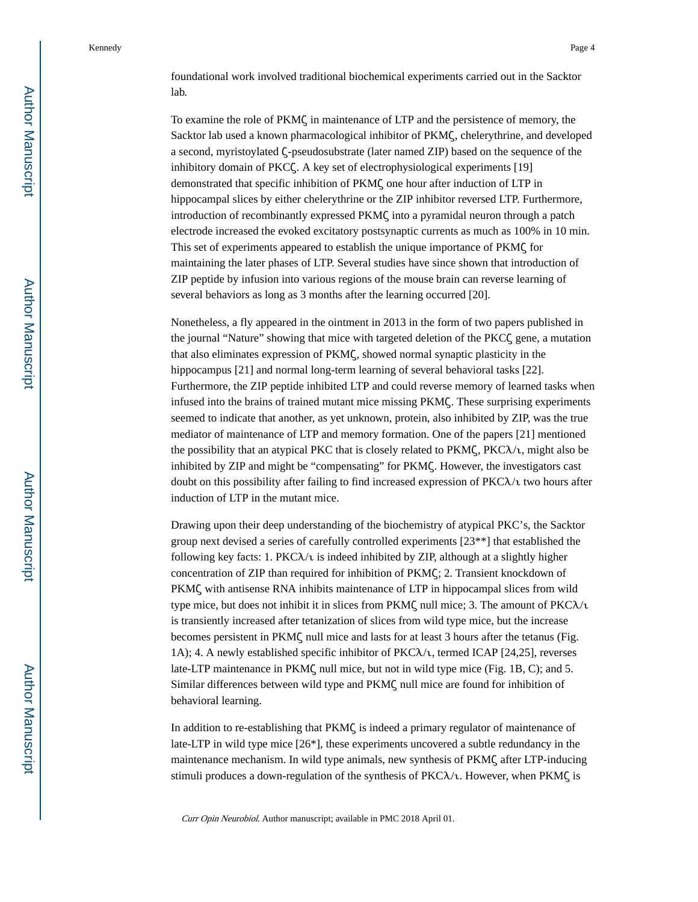foundational work involved traditional biochemical experiments carried out in the Sacktor lab.

To examine the role of PKMζ in maintenance of LTP and the persistence of memory, the Sacktor lab used a known pharmacological inhibitor of PKMζ, chelerythrine, and developed a second, myristoylated ζ-pseudosubstrate (later named ZIP) based on the sequence of the inhibitory domain of PKCζ. A key set of electrophysiological experiments [19] demonstrated that specific inhibition of PKMζ one hour after induction of LTP in hippocampal slices by either chelerythrine or the ZIP inhibitor reversed LTP. Furthermore, introduction of recombinantly expressed PKMζ into a pyramidal neuron through a patch electrode increased the evoked excitatory postsynaptic currents as much as 100% in 10 min. This set of experiments appeared to establish the unique importance of PKMζ for maintaining the later phases of LTP. Several studies have since shown that introduction of ZIP peptide by infusion into various regions of the mouse brain can reverse learning of several behaviors as long as 3 months after the learning occurred [20].

Nonetheless, a fly appeared in the ointment in 2013 in the form of two papers published in the journal "Nature" showing that mice with targeted deletion of the PKCζ gene, a mutation that also eliminates expression of PKMζ, showed normal synaptic plasticity in the hippocampus [21] and normal long-term learning of several behavioral tasks [22]. Furthermore, the ZIP peptide inhibited LTP and could reverse memory of learned tasks when infused into the brains of trained mutant mice missing PKMζ. These surprising experiments seemed to indicate that another, as yet unknown, protein, also inhibited by ZIP, was the true mediator of maintenance of LTP and memory formation. One of the papers [21] mentioned the possibility that an atypical PKC that is closely related to PKM $\zeta$ , PKC $\lambda/\iota$ , might also be inhibited by ZIP and might be "compensating" for PKMζ. However, the investigators cast doubt on this possibility after failing to find increased expression of PKCλ/ι two hours after induction of LTP in the mutant mice.

Drawing upon their deep understanding of the biochemistry of atypical PKC's, the Sacktor group next devised a series of carefully controlled experiments [23\*\*] that established the following key facts: 1.  $PKC\lambda/\iota$  is indeed inhibited by ZIP, although at a slightly higher concentration of ZIP than required for inhibition of PKMζ; 2. Transient knockdown of PKMζ with antisense RNA inhibits maintenance of LTP in hippocampal slices from wild type mice, but does not inhibit it in slices from PKM $\zeta$  null mice; 3. The amount of PKC $\lambda/\iota$ is transiently increased after tetanization of slices from wild type mice, but the increase becomes persistent in PKMζ null mice and lasts for at least 3 hours after the tetanus (Fig. 1A); 4. A newly established specific inhibitor of  $PKC\lambda/\lambda$ , termed ICAP [24,25], reverses late-LTP maintenance in PKMζ null mice, but not in wild type mice (Fig. 1B, C); and 5. Similar differences between wild type and PKMζ null mice are found for inhibition of behavioral learning.

In addition to re-establishing that PKMζ is indeed a primary regulator of maintenance of late-LTP in wild type mice [26\*], these experiments uncovered a subtle redundancy in the maintenance mechanism. In wild type animals, new synthesis of PKMζ after LTP-inducing stimuli produces a down-regulation of the synthesis of PKC $\lambda/\iota$ . However, when PKM $\zeta$  is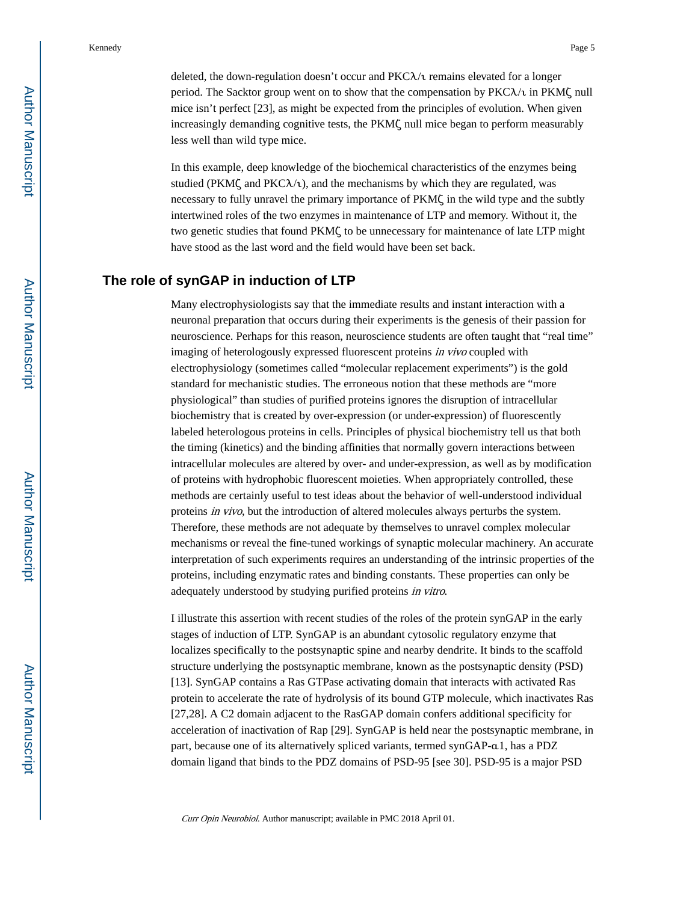deleted, the down-regulation doesn't occur and  $PKC\lambda/\lambda$  remains elevated for a longer period. The Sacktor group went on to show that the compensation by  $PKC\lambda/\lambda$  in PKM $\zeta$  null mice isn't perfect [23], as might be expected from the principles of evolution. When given increasingly demanding cognitive tests, the PKMζ null mice began to perform measurably less well than wild type mice.

In this example, deep knowledge of the biochemical characteristics of the enzymes being studied (PKM $\zeta$  and PKC $\lambda/\lambda$ ), and the mechanisms by which they are regulated, was necessary to fully unravel the primary importance of PKMζ in the wild type and the subtly intertwined roles of the two enzymes in maintenance of LTP and memory. Without it, the two genetic studies that found PKMζ to be unnecessary for maintenance of late LTP might have stood as the last word and the field would have been set back.

# **The role of synGAP in induction of LTP**

Many electrophysiologists say that the immediate results and instant interaction with a neuronal preparation that occurs during their experiments is the genesis of their passion for neuroscience. Perhaps for this reason, neuroscience students are often taught that "real time" imaging of heterologously expressed fluorescent proteins in vivo coupled with electrophysiology (sometimes called "molecular replacement experiments") is the gold standard for mechanistic studies. The erroneous notion that these methods are "more physiological" than studies of purified proteins ignores the disruption of intracellular biochemistry that is created by over-expression (or under-expression) of fluorescently labeled heterologous proteins in cells. Principles of physical biochemistry tell us that both the timing (kinetics) and the binding affinities that normally govern interactions between intracellular molecules are altered by over- and under-expression, as well as by modification of proteins with hydrophobic fluorescent moieties. When appropriately controlled, these methods are certainly useful to test ideas about the behavior of well-understood individual proteins in vivo, but the introduction of altered molecules always perturbs the system. Therefore, these methods are not adequate by themselves to unravel complex molecular mechanisms or reveal the fine-tuned workings of synaptic molecular machinery. An accurate interpretation of such experiments requires an understanding of the intrinsic properties of the proteins, including enzymatic rates and binding constants. These properties can only be adequately understood by studying purified proteins in vitro.

I illustrate this assertion with recent studies of the roles of the protein synGAP in the early stages of induction of LTP. SynGAP is an abundant cytosolic regulatory enzyme that localizes specifically to the postsynaptic spine and nearby dendrite. It binds to the scaffold structure underlying the postsynaptic membrane, known as the postsynaptic density (PSD) [13]. SynGAP contains a Ras GTPase activating domain that interacts with activated Ras protein to accelerate the rate of hydrolysis of its bound GTP molecule, which inactivates Ras [27,28]. A C2 domain adjacent to the RasGAP domain confers additional specificity for acceleration of inactivation of Rap [29]. SynGAP is held near the postsynaptic membrane, in part, because one of its alternatively spliced variants, termed synGAP-α1, has a PDZ domain ligand that binds to the PDZ domains of PSD-95 [see 30]. PSD-95 is a major PSD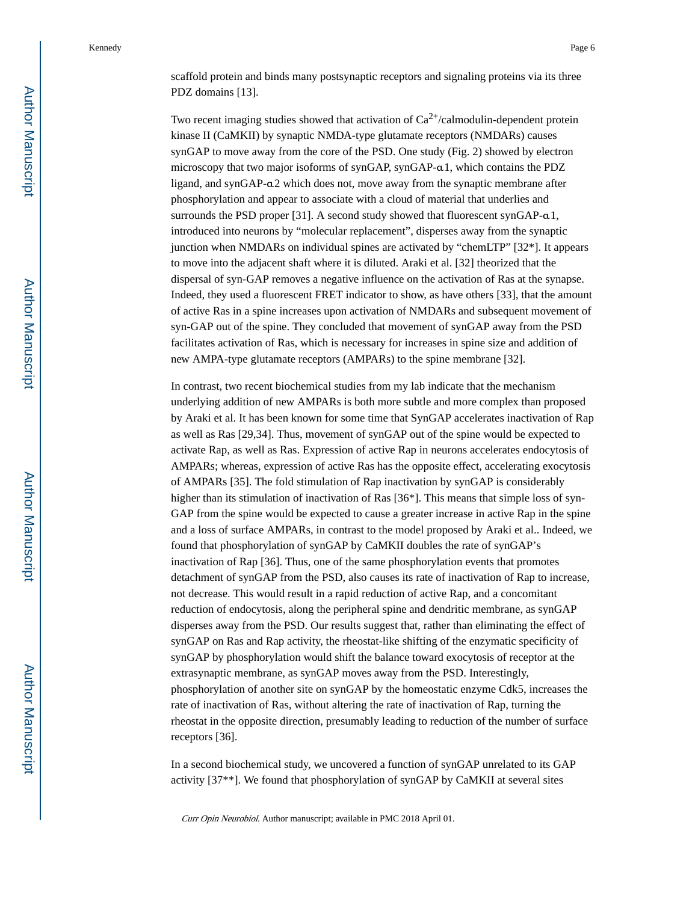scaffold protein and binds many postsynaptic receptors and signaling proteins via its three PDZ domains [13].

Two recent imaging studies showed that activation of  $Ca^{2+}/cal$ calmodulin-dependent protein kinase II (CaMKII) by synaptic NMDA-type glutamate receptors (NMDARs) causes synGAP to move away from the core of the PSD. One study (Fig. 2) showed by electron microscopy that two major isoforms of synGAP, synGAP-α1, which contains the PDZ ligand, and synGAP-α2 which does not, move away from the synaptic membrane after phosphorylation and appear to associate with a cloud of material that underlies and surrounds the PSD proper [31]. A second study showed that fluorescent synGAP-α1, introduced into neurons by "molecular replacement", disperses away from the synaptic junction when NMDARs on individual spines are activated by "chemLTP" [32\*]. It appears to move into the adjacent shaft where it is diluted. Araki et al. [32] theorized that the dispersal of syn-GAP removes a negative influence on the activation of Ras at the synapse. Indeed, they used a fluorescent FRET indicator to show, as have others [33], that the amount of active Ras in a spine increases upon activation of NMDARs and subsequent movement of syn-GAP out of the spine. They concluded that movement of synGAP away from the PSD facilitates activation of Ras, which is necessary for increases in spine size and addition of new AMPA-type glutamate receptors (AMPARs) to the spine membrane [32].

In contrast, two recent biochemical studies from my lab indicate that the mechanism underlying addition of new AMPARs is both more subtle and more complex than proposed by Araki et al. It has been known for some time that SynGAP accelerates inactivation of Rap as well as Ras [29,34]. Thus, movement of synGAP out of the spine would be expected to activate Rap, as well as Ras. Expression of active Rap in neurons accelerates endocytosis of AMPARs; whereas, expression of active Ras has the opposite effect, accelerating exocytosis of AMPARs [35]. The fold stimulation of Rap inactivation by synGAP is considerably higher than its stimulation of inactivation of Ras [36<sup>\*</sup>]. This means that simple loss of syn-GAP from the spine would be expected to cause a greater increase in active Rap in the spine and a loss of surface AMPARs, in contrast to the model proposed by Araki et al.. Indeed, we found that phosphorylation of synGAP by CaMKII doubles the rate of synGAP's inactivation of Rap [36]. Thus, one of the same phosphorylation events that promotes detachment of synGAP from the PSD, also causes its rate of inactivation of Rap to increase, not decrease. This would result in a rapid reduction of active Rap, and a concomitant reduction of endocytosis, along the peripheral spine and dendritic membrane, as synGAP disperses away from the PSD. Our results suggest that, rather than eliminating the effect of synGAP on Ras and Rap activity, the rheostat-like shifting of the enzymatic specificity of synGAP by phosphorylation would shift the balance toward exocytosis of receptor at the extrasynaptic membrane, as synGAP moves away from the PSD. Interestingly, phosphorylation of another site on synGAP by the homeostatic enzyme Cdk5, increases the rate of inactivation of Ras, without altering the rate of inactivation of Rap, turning the rheostat in the opposite direction, presumably leading to reduction of the number of surface receptors [36].

In a second biochemical study, we uncovered a function of synGAP unrelated to its GAP activity [37\*\*]. We found that phosphorylation of synGAP by CaMKII at several sites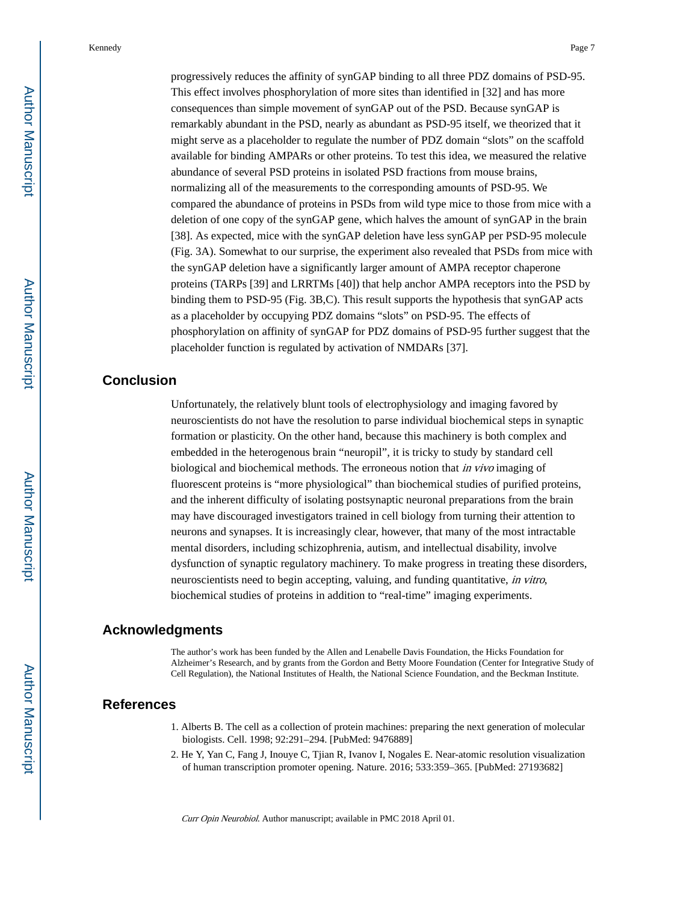progressively reduces the affinity of synGAP binding to all three PDZ domains of PSD-95. This effect involves phosphorylation of more sites than identified in [32] and has more consequences than simple movement of synGAP out of the PSD. Because synGAP is remarkably abundant in the PSD, nearly as abundant as PSD-95 itself, we theorized that it might serve as a placeholder to regulate the number of PDZ domain "slots" on the scaffold available for binding AMPARs or other proteins. To test this idea, we measured the relative abundance of several PSD proteins in isolated PSD fractions from mouse brains, normalizing all of the measurements to the corresponding amounts of PSD-95. We compared the abundance of proteins in PSDs from wild type mice to those from mice with a deletion of one copy of the synGAP gene, which halves the amount of synGAP in the brain [38]. As expected, mice with the synGAP deletion have less synGAP per PSD-95 molecule (Fig. 3A). Somewhat to our surprise, the experiment also revealed that PSDs from mice with the synGAP deletion have a significantly larger amount of AMPA receptor chaperone proteins (TARPs [39] and LRRTMs [40]) that help anchor AMPA receptors into the PSD by binding them to PSD-95 (Fig. 3B,C). This result supports the hypothesis that synGAP acts as a placeholder by occupying PDZ domains "slots" on PSD-95. The effects of phosphorylation on affinity of synGAP for PDZ domains of PSD-95 further suggest that the placeholder function is regulated by activation of NMDARs [37].

# **Conclusion**

Unfortunately, the relatively blunt tools of electrophysiology and imaging favored by neuroscientists do not have the resolution to parse individual biochemical steps in synaptic formation or plasticity. On the other hand, because this machinery is both complex and embedded in the heterogenous brain "neuropil", it is tricky to study by standard cell biological and biochemical methods. The erroneous notion that *in vivo* imaging of fluorescent proteins is "more physiological" than biochemical studies of purified proteins, and the inherent difficulty of isolating postsynaptic neuronal preparations from the brain may have discouraged investigators trained in cell biology from turning their attention to neurons and synapses. It is increasingly clear, however, that many of the most intractable mental disorders, including schizophrenia, autism, and intellectual disability, involve dysfunction of synaptic regulatory machinery. To make progress in treating these disorders, neuroscientists need to begin accepting, valuing, and funding quantitative, in vitro, biochemical studies of proteins in addition to "real-time" imaging experiments.

#### **Acknowledgments**

The author's work has been funded by the Allen and Lenabelle Davis Foundation, the Hicks Foundation for Alzheimer's Research, and by grants from the Gordon and Betty Moore Foundation (Center for Integrative Study of Cell Regulation), the National Institutes of Health, the National Science Foundation, and the Beckman Institute.

# **References**

- 1. Alberts B. The cell as a collection of protein machines: preparing the next generation of molecular biologists. Cell. 1998; 92:291–294. [PubMed: 9476889]
- 2. He Y, Yan C, Fang J, Inouye C, Tjian R, Ivanov I, Nogales E. Near-atomic resolution visualization of human transcription promoter opening. Nature. 2016; 533:359–365. [PubMed: 27193682]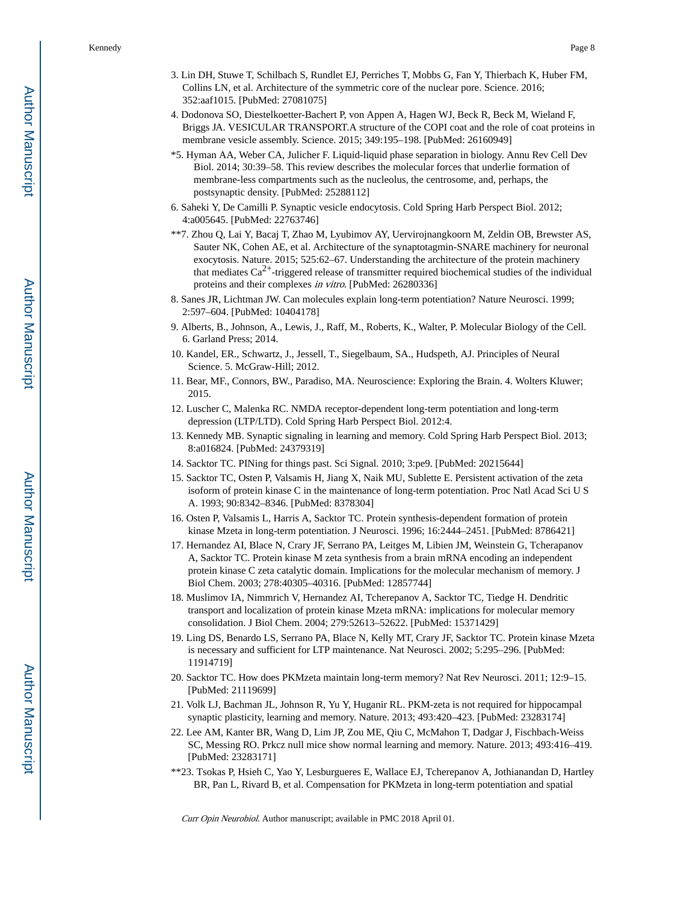- 3. Lin DH, Stuwe T, Schilbach S, Rundlet EJ, Perriches T, Mobbs G, Fan Y, Thierbach K, Huber FM, Collins LN, et al. Architecture of the symmetric core of the nuclear pore. Science. 2016; 352:aaf1015. [PubMed: 27081075]
- 4. Dodonova SO, Diestelkoetter-Bachert P, von Appen A, Hagen WJ, Beck R, Beck M, Wieland F, Briggs JA. VESICULAR TRANSPORT.A structure of the COPI coat and the role of coat proteins in membrane vesicle assembly. Science. 2015; 349:195–198. [PubMed: 26160949]
- \*5. Hyman AA, Weber CA, Julicher F. Liquid-liquid phase separation in biology. Annu Rev Cell Dev Biol. 2014; 30:39–58. This review describes the molecular forces that underlie formation of membrane-less compartments such as the nucleolus, the centrosome, and, perhaps, the postsynaptic density. [PubMed: 25288112]
- 6. Saheki Y, De Camilli P. Synaptic vesicle endocytosis. Cold Spring Harb Perspect Biol. 2012; 4:a005645. [PubMed: 22763746]
- \*\*7. Zhou Q, Lai Y, Bacaj T, Zhao M, Lyubimov AY, Uervirojnangkoorn M, Zeldin OB, Brewster AS, Sauter NK, Cohen AE, et al. Architecture of the synaptotagmin-SNARE machinery for neuronal exocytosis. Nature. 2015; 525:62–67. Understanding the architecture of the protein machinery that mediates  $Ca<sup>2+</sup>$ -triggered release of transmitter required biochemical studies of the individual proteins and their complexes in vitro. [PubMed: 26280336]
- 8. Sanes JR, Lichtman JW. Can molecules explain long-term potentiation? Nature Neurosci. 1999; 2:597–604. [PubMed: 10404178]
- 9. Alberts, B., Johnson, A., Lewis, J., Raff, M., Roberts, K., Walter, P. Molecular Biology of the Cell. 6. Garland Press; 2014.
- 10. Kandel, ER., Schwartz, J., Jessell, T., Siegelbaum, SA., Hudspeth, AJ. Principles of Neural Science. 5. McGraw-Hill; 2012.
- 11. Bear, MF., Connors, BW., Paradiso, MA. Neuroscience: Exploring the Brain. 4. Wolters Kluwer; 2015.
- 12. Luscher C, Malenka RC. NMDA receptor-dependent long-term potentiation and long-term depression (LTP/LTD). Cold Spring Harb Perspect Biol. 2012:4.
- 13. Kennedy MB. Synaptic signaling in learning and memory. Cold Spring Harb Perspect Biol. 2013; 8:a016824. [PubMed: 24379319]
- 14. Sacktor TC. PINing for things past. Sci Signal. 2010; 3:pe9. [PubMed: 20215644]
- 15. Sacktor TC, Osten P, Valsamis H, Jiang X, Naik MU, Sublette E. Persistent activation of the zeta isoform of protein kinase C in the maintenance of long-term potentiation. Proc Natl Acad Sci U S A. 1993; 90:8342–8346. [PubMed: 8378304]
- 16. Osten P, Valsamis L, Harris A, Sacktor TC. Protein synthesis-dependent formation of protein kinase Mzeta in long-term potentiation. J Neurosci. 1996; 16:2444–2451. [PubMed: 8786421]
- 17. Hernandez AI, Blace N, Crary JF, Serrano PA, Leitges M, Libien JM, Weinstein G, Tcherapanov A, Sacktor TC. Protein kinase M zeta synthesis from a brain mRNA encoding an independent protein kinase C zeta catalytic domain. Implications for the molecular mechanism of memory. J Biol Chem. 2003; 278:40305–40316. [PubMed: 12857744]
- 18. Muslimov IA, Nimmrich V, Hernandez AI, Tcherepanov A, Sacktor TC, Tiedge H. Dendritic transport and localization of protein kinase Mzeta mRNA: implications for molecular memory consolidation. J Biol Chem. 2004; 279:52613–52622. [PubMed: 15371429]
- 19. Ling DS, Benardo LS, Serrano PA, Blace N, Kelly MT, Crary JF, Sacktor TC. Protein kinase Mzeta is necessary and sufficient for LTP maintenance. Nat Neurosci. 2002; 5:295–296. [PubMed: 11914719]
- 20. Sacktor TC. How does PKMzeta maintain long-term memory? Nat Rev Neurosci. 2011; 12:9–15. [PubMed: 21119699]
- 21. Volk LJ, Bachman JL, Johnson R, Yu Y, Huganir RL. PKM-zeta is not required for hippocampal synaptic plasticity, learning and memory. Nature. 2013; 493:420–423. [PubMed: 23283174]
- 22. Lee AM, Kanter BR, Wang D, Lim JP, Zou ME, Qiu C, McMahon T, Dadgar J, Fischbach-Weiss SC, Messing RO. Prkcz null mice show normal learning and memory. Nature. 2013; 493:416–419. [PubMed: 23283171]
- \*\*23. Tsokas P, Hsieh C, Yao Y, Lesburgueres E, Wallace EJ, Tcherepanov A, Jothianandan D, Hartley BR, Pan L, Rivard B, et al. Compensation for PKMzeta in long-term potentiation and spatial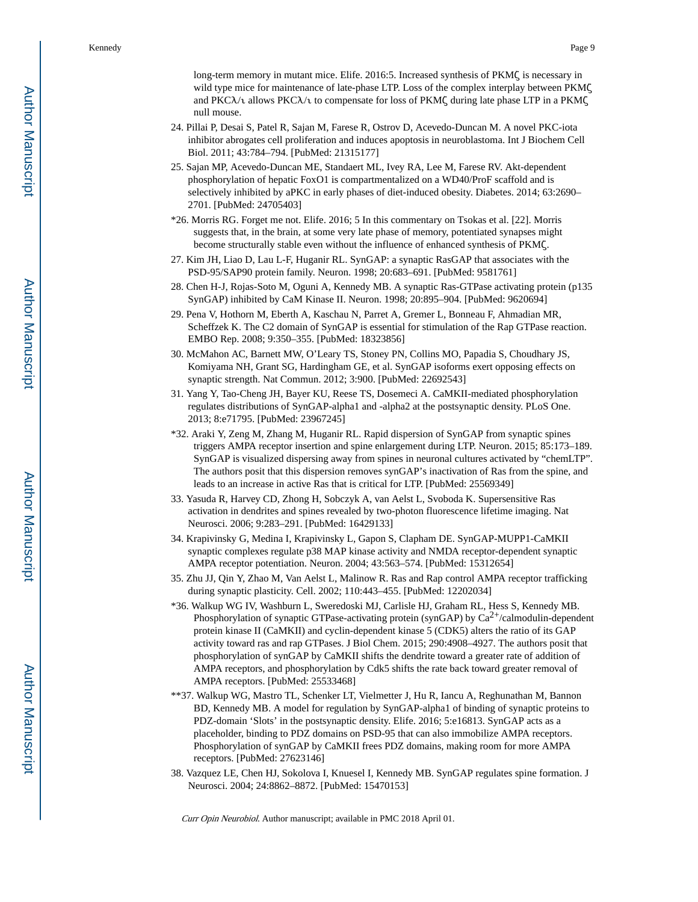long-term memory in mutant mice. Elife. 2016:5. Increased synthesis of PKMζ is necessary in wild type mice for maintenance of late-phase LTP. Loss of the complex interplay between PKMζ and PKC $\lambda$ /ι allows PKC $\lambda$ /ι to compensate for loss of PKM $\zeta$  during late phase LTP in a PKM $\zeta$ null mouse.

- 24. Pillai P, Desai S, Patel R, Sajan M, Farese R, Ostrov D, Acevedo-Duncan M. A novel PKC-iota inhibitor abrogates cell proliferation and induces apoptosis in neuroblastoma. Int J Biochem Cell Biol. 2011; 43:784–794. [PubMed: 21315177]
- 25. Sajan MP, Acevedo-Duncan ME, Standaert ML, Ivey RA, Lee M, Farese RV. Akt-dependent phosphorylation of hepatic FoxO1 is compartmentalized on a WD40/ProF scaffold and is selectively inhibited by aPKC in early phases of diet-induced obesity. Diabetes. 2014; 63:2690– 2701. [PubMed: 24705403]
- \*26. Morris RG. Forget me not. Elife. 2016; 5 In this commentary on Tsokas et al. [22]. Morris suggests that, in the brain, at some very late phase of memory, potentiated synapses might become structurally stable even without the influence of enhanced synthesis of PKMζ.
- 27. Kim JH, Liao D, Lau L-F, Huganir RL. SynGAP: a synaptic RasGAP that associates with the PSD-95/SAP90 protein family. Neuron. 1998; 20:683–691. [PubMed: 9581761]
- 28. Chen H-J, Rojas-Soto M, Oguni A, Kennedy MB. A synaptic Ras-GTPase activating protein (p135 SynGAP) inhibited by CaM Kinase II. Neuron. 1998; 20:895–904. [PubMed: 9620694]
- 29. Pena V, Hothorn M, Eberth A, Kaschau N, Parret A, Gremer L, Bonneau F, Ahmadian MR, Scheffzek K. The C2 domain of SynGAP is essential for stimulation of the Rap GTPase reaction. EMBO Rep. 2008; 9:350–355. [PubMed: 18323856]
- 30. McMahon AC, Barnett MW, O'Leary TS, Stoney PN, Collins MO, Papadia S, Choudhary JS, Komiyama NH, Grant SG, Hardingham GE, et al. SynGAP isoforms exert opposing effects on synaptic strength. Nat Commun. 2012; 3:900. [PubMed: 22692543]
- 31. Yang Y, Tao-Cheng JH, Bayer KU, Reese TS, Dosemeci A. CaMKII-mediated phosphorylation regulates distributions of SynGAP-alpha1 and -alpha2 at the postsynaptic density. PLoS One. 2013; 8:e71795. [PubMed: 23967245]
- \*32. Araki Y, Zeng M, Zhang M, Huganir RL. Rapid dispersion of SynGAP from synaptic spines triggers AMPA receptor insertion and spine enlargement during LTP. Neuron. 2015; 85:173–189. SynGAP is visualized dispersing away from spines in neuronal cultures activated by "chemLTP". The authors posit that this dispersion removes synGAP's inactivation of Ras from the spine, and leads to an increase in active Ras that is critical for LTP. [PubMed: 25569349]
- 33. Yasuda R, Harvey CD, Zhong H, Sobczyk A, van Aelst L, Svoboda K. Supersensitive Ras activation in dendrites and spines revealed by two-photon fluorescence lifetime imaging. Nat Neurosci. 2006; 9:283–291. [PubMed: 16429133]
- 34. Krapivinsky G, Medina I, Krapivinsky L, Gapon S, Clapham DE. SynGAP-MUPP1-CaMKII synaptic complexes regulate p38 MAP kinase activity and NMDA receptor-dependent synaptic AMPA receptor potentiation. Neuron. 2004; 43:563–574. [PubMed: 15312654]
- 35. Zhu JJ, Qin Y, Zhao M, Van Aelst L, Malinow R. Ras and Rap control AMPA receptor trafficking during synaptic plasticity. Cell. 2002; 110:443–455. [PubMed: 12202034]
- \*36. Walkup WG IV, Washburn L, Sweredoski MJ, Carlisle HJ, Graham RL, Hess S, Kennedy MB. Phosphorylation of synaptic GTPase-activating protein (synGAP) by  $Ca^{2+}/c$ almodulin-dependent protein kinase II (CaMKII) and cyclin-dependent kinase 5 (CDK5) alters the ratio of its GAP activity toward ras and rap GTPases. J Biol Chem. 2015; 290:4908–4927. The authors posit that phosphorylation of synGAP by CaMKII shifts the dendrite toward a greater rate of addition of AMPA receptors, and phosphorylation by Cdk5 shifts the rate back toward greater removal of AMPA receptors. [PubMed: 25533468]
- \*\*37. Walkup WG, Mastro TL, Schenker LT, Vielmetter J, Hu R, Iancu A, Reghunathan M, Bannon BD, Kennedy MB. A model for regulation by SynGAP-alpha1 of binding of synaptic proteins to PDZ-domain 'Slots' in the postsynaptic density. Elife. 2016; 5:e16813. SynGAP acts as a placeholder, binding to PDZ domains on PSD-95 that can also immobilize AMPA receptors. Phosphorylation of synGAP by CaMKII frees PDZ domains, making room for more AMPA receptors. [PubMed: 27623146]
- 38. Vazquez LE, Chen HJ, Sokolova I, Knuesel I, Kennedy MB. SynGAP regulates spine formation. J Neurosci. 2004; 24:8862–8872. [PubMed: 15470153]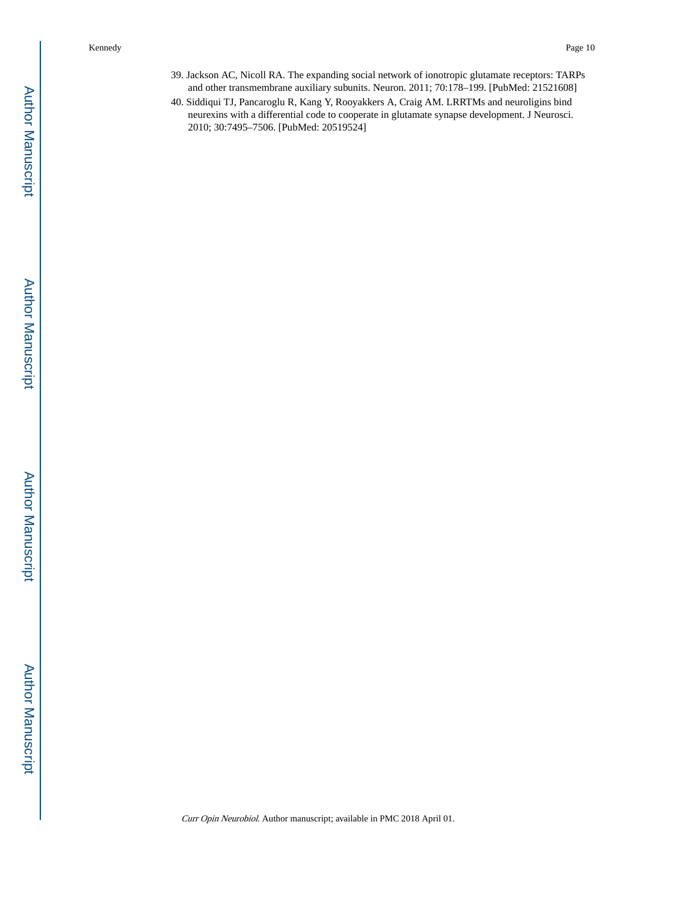- 39. Jackson AC, Nicoll RA. The expanding social network of ionotropic glutamate receptors: TARPs and other transmembrane auxiliary subunits. Neuron. 2011; 70:178–199. [PubMed: 21521608]
- 40. Siddiqui TJ, Pancaroglu R, Kang Y, Rooyakkers A, Craig AM. LRRTMs and neuroligins bind neurexins with a differential code to cooperate in glutamate synapse development. J Neurosci. 2010; 30:7495–7506. [PubMed: 20519524]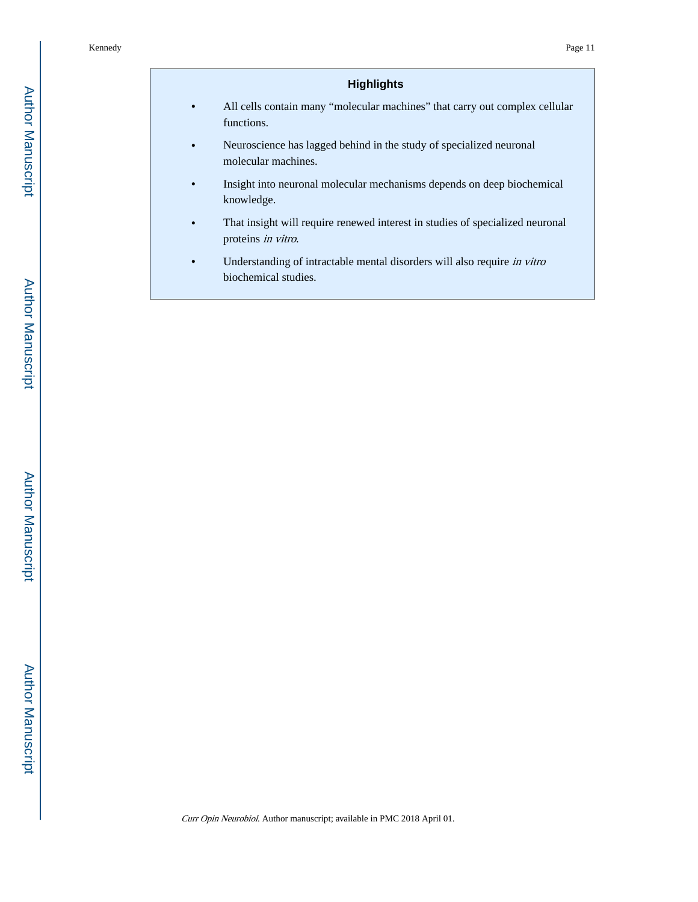# **Highlights**

- **•** All cells contain many "molecular machines" that carry out complex cellular functions.
- **•** Neuroscience has lagged behind in the study of specialized neuronal molecular machines.
- **•** Insight into neuronal molecular mechanisms depends on deep biochemical knowledge.
- **•** That insight will require renewed interest in studies of specialized neuronal proteins in vitro.
- Understanding of intractable mental disorders will also require in vitro biochemical studies.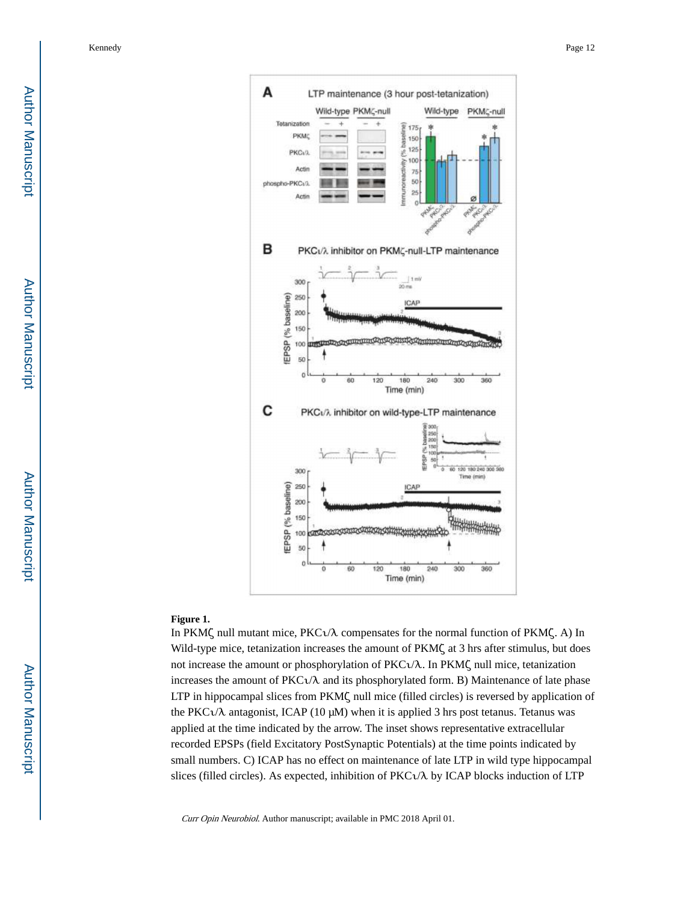Author Manuscript Author Manuscript

 Author ManuscriptAuthor Manuscript



#### **Figure 1.**

In PKM $\zeta$  null mutant mice, PKC $\iota/\lambda$  compensates for the normal function of PKM $\zeta$ . A) In Wild-type mice, tetanization increases the amount of PKMζ at 3 hrs after stimulus, but does not increase the amount or phosphorylation of  $PKC_1/\lambda$ . In PKM $\zeta$  null mice, tetanization increases the amount of  $PKC\sqrt{\lambda}$  and its phosphorylated form. B) Maintenance of late phase LTP in hippocampal slices from PKM $\zeta$  null mice (filled circles) is reversed by application of the PKC $\iota/\lambda$  antagonist, ICAP (10  $\mu$ M) when it is applied 3 hrs post tetanus. Tetanus was applied at the time indicated by the arrow. The inset shows representative extracellular recorded EPSPs (field Excitatory PostSynaptic Potentials) at the time points indicated by small numbers. C) ICAP has no effect on maintenance of late LTP in wild type hippocampal slices (filled circles). As expected, inhibition of PKCι/λ by ICAP blocks induction of LTP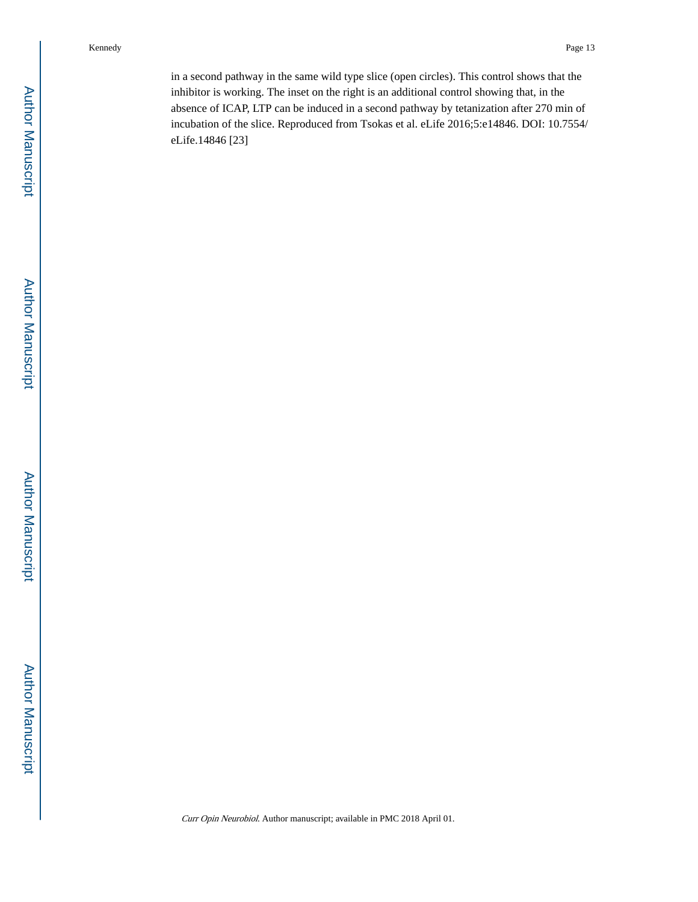in a second pathway in the same wild type slice (open circles). This control shows that the inhibitor is working. The inset on the right is an additional control showing that, in the absence of ICAP, LTP can be induced in a second pathway by tetanization after 270 min of incubation of the slice. Reproduced from Tsokas et al. eLife 2016;5:e14846. DOI: 10.7554/ eLife.14846 [23]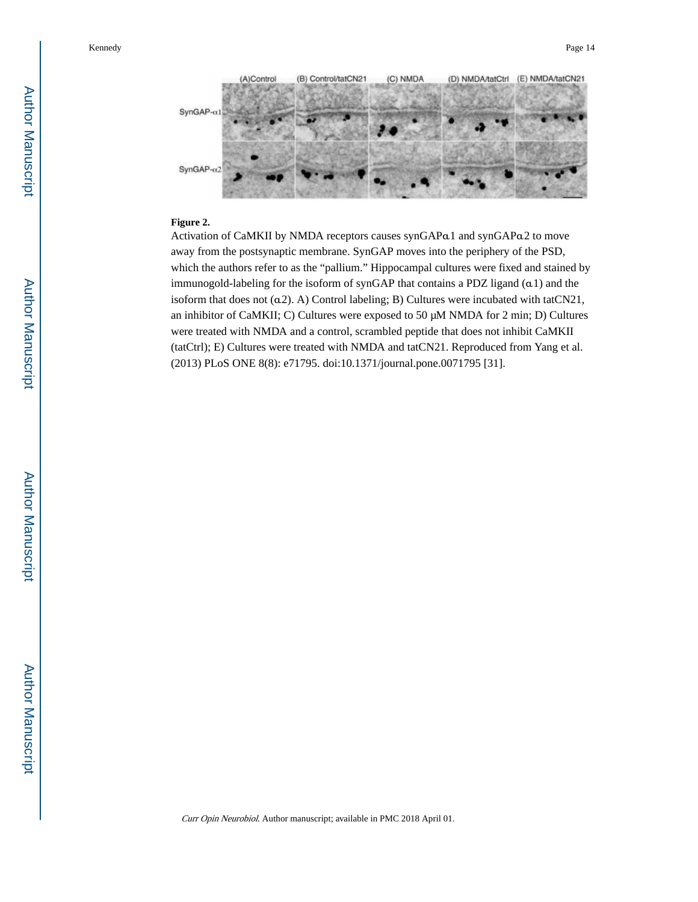

#### **Figure 2.**

Activation of CaMKII by NMDA receptors causes synGAPa1 and synGAPa2 to move away from the postsynaptic membrane. SynGAP moves into the periphery of the PSD, which the authors refer to as the "pallium." Hippocampal cultures were fixed and stained by immunogold-labeling for the isoform of synGAP that contains a PDZ ligand  $(a1)$  and the isoform that does not  $(a2)$ . A) Control labeling; B) Cultures were incubated with tatCN21, an inhibitor of CaMKII; C) Cultures were exposed to 50 μM NMDA for 2 min; D) Cultures were treated with NMDA and a control, scrambled peptide that does not inhibit CaMKII (tatCtrl); E) Cultures were treated with NMDA and tatCN21. Reproduced from Yang et al. (2013) PLoS ONE 8(8): e71795. doi:10.1371/journal.pone.0071795 [31].